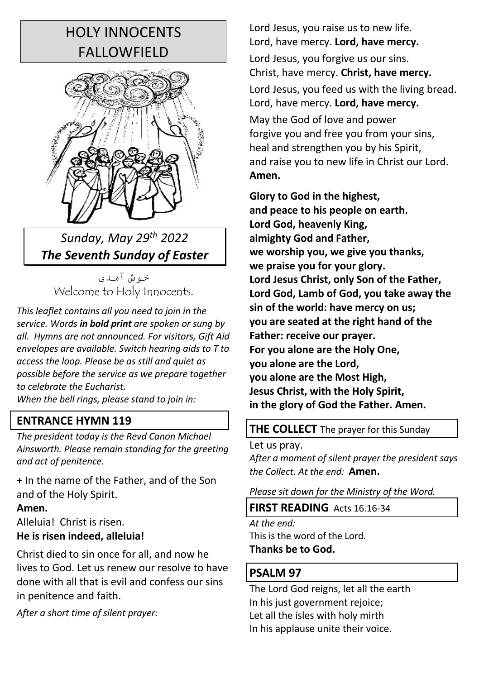# HOLY INNOCENTS **FALLOWFIFLD**



*Sunday, May 29th 2022 The Seventh Sunday of Easter* 

خوش آمدی Welcome to Holy Innocents.

*This leaflet contains all you need to join in the service. Words in bold print are spoken or sung by all. Hymns are not announced. For visitors, Gift Aid envelopes are available. Switch hearing aids to T to access the loop. Please be as still and quiet as possible before the service as we prepare together to celebrate the Eucharist.*

*When the bell rings, please stand to join in:* 

# **ENTRANCE HYMN 119**

*The president today is the Revd Canon Michael Ainsworth. Please remain standing for the greeting and act of penitence.* 

+ In the name of the Father, and of the Son and of the Holy Spirit.

#### **Amen.**

Alleluia! Christ is risen. **He is risen indeed, alleluia!** 

Christ died to sin once for all, and now he lives to God. Let us renew our resolve to have done with all that is evil and confess our sins in penitence and faith.

*After a short time of silent prayer:* 

Lord Jesus, you raise us to new life. Lord, have mercy. **Lord, have mercy.**

Lord Jesus, you forgive us our sins. Christ, have mercy. **Christ, have mercy.**

Lord Jesus, you feed us with the living bread. Lord, have mercy. **Lord, have mercy.**

May the God of love and power forgive you and free you from your sins, heal and strengthen you by his Spirit, and raise you to new life in Christ our Lord. **Amen.**

**Glory to God in the highest, and peace to his people on earth. Lord God, heavenly King, almighty God and Father, we worship you, we give you thanks, we praise you for your glory. Lord Jesus Christ, only Son of the Father, Lord God, Lamb of God, you take away the sin of the world: have mercy on us; you are seated at the right hand of the Father: receive our prayer. For you alone are the Holy One, you alone are the Lord, you alone are the Most High, Jesus Christ, with the Holy Spirit, in the glory of God the Father. Amen.**

# **THE COLLECT** The prayer for this Sunday

Let us pray.

*After a moment of silent prayer the president says the Collect. At the end:* **Amen.**

*Please sit down for the Ministry of the Word.* 

**FIRST READING** Acts 16.16-34

*At the end:* This is the word of the Lord. **Thanks be to God.**

# **PSALM 97**

The Lord God reigns, let all the earth In his just government rejoice; Let all the isles with holy mirth In his applause unite their voice.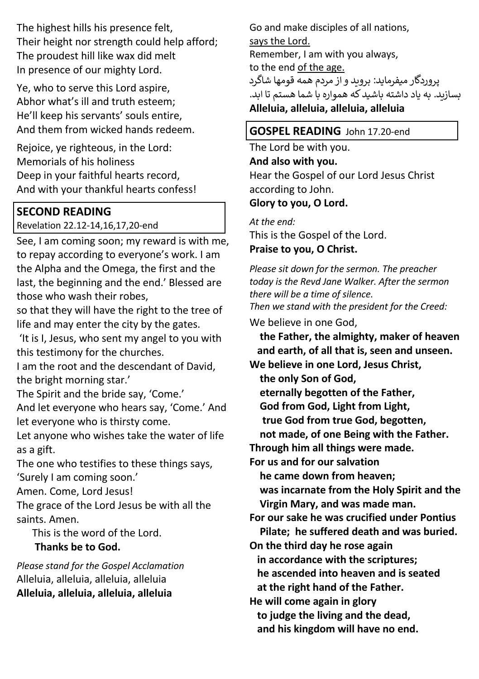The highest hills his presence felt, Their height nor strength could help afford; The proudest hill like wax did melt In presence of our mighty Lord.

Ye, who to serve this Lord aspire, Abhor what's ill and truth esteem; He'll keep his servants' souls entire, And them from wicked hands redeem.

Rejoice, ye righteous, in the Lord: Memorials of his holiness Deep in your faithful hearts record, And with your thankful hearts confess!

# **SECOND READING**

Revelation 22.12-14,16,17,20-end

See, I am coming soon; my reward is with me, to repay according to everyone's work. I am the Alpha and the Omega, the first and the last, the beginning and the end.' Blessed are those who wash their robes,

so that they will have the right to the tree of life and may enter the city by the gates.

'It is I, Jesus, who sent my angel to you with this testimony for the churches.

I am the root and the descendant of David, the bright morning star.'

The Spirit and the bride say, 'Come.' And let everyone who hears say, 'Come.' And let everyone who is thirsty come.

Let anyone who wishes take the water of life as a gift.

The one who testifies to these things says, 'Surely I am coming soon.'

Amen. Come, Lord Jesus!

The grace of the Lord Jesus be with all the saints. Amen.

This is the word of the Lord.

 **Thanks be to God.**

*Please stand for the Gospel Acclamation* Alleluia, alleluia, alleluia, alleluia **Alleluia, alleluia, alleluia, alleluia**

Go and make disciples of all nations, says the Lord. Remember, I am with you always, to the end of the age. پروردگار میفرماید: بروىد و از مردم همه قومها شاگرد بسازبد. به یاد داشته باشید که همواره با شما هستم تا ابد. **Alleluia, alleluia, alleluia, alleluia**

## **GOSPEL READING** John 17.20-end

The Lord be with you. **And also with you.** Hear the Gospel of our Lord Jesus Christ according to John. **Glory to you, O Lord.**

*At the end:* This is the Gospel of the Lord. **Praise to you, O Christ.**

*Please sit down for the sermon. The preacher today is the Revd Jane Walker. After the sermon there will be a time of silence. Then we stand with the president for the Creed:* 

We believe in one God,

 **the Father, the almighty, maker of heaven and earth, of all that is, seen and unseen. We believe in one Lord, Jesus Christ,** 

 **the only Son of God,** 

 **eternally begotten of the Father,** 

 **God from God, Light from Light,** 

 **true God from true God, begotten,** 

 **not made, of one Being with the Father.** 

**Through him all things were made.** 

**For us and for our salvation** 

 **he came down from heaven;** 

 **was incarnate from the Holy Spirit and the Virgin Mary, and was made man.**

**For our sake he was crucified under Pontius Pilate; he suffered death and was buried.** 

**On the third day he rose again** 

 **in accordance with the scriptures;** 

 **he ascended into heaven and is seated at the right hand of the Father.** 

**He will come again in glory to judge the living and the dead, and his kingdom will have no end.**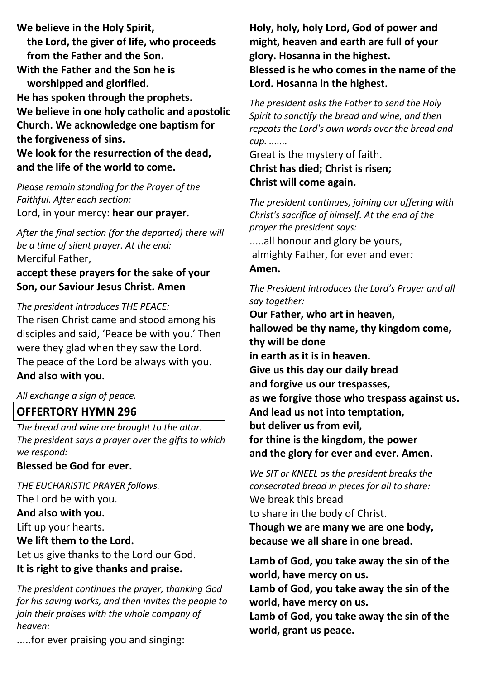**We believe in the Holy Spirit, the Lord, the giver of life, who proceeds from the Father and the Son. With the Father and the Son he is worshipped and glorified. He has spoken through the prophets. We believe in one holy catholic and apostolic Church. We acknowledge one baptism for the forgiveness of sins. We look for the resurrection of the dead, and the life of the world to come.**

*Please remain standing for the Prayer of the Faithful. After each section:* Lord, in your mercy: **hear our prayer.**

*After the final section (for the departed) there will be a time of silent prayer. At the end:* Merciful Father,

**accept these prayers for the sake of your Son, our Saviour Jesus Christ. Amen**

*The president introduces THE PEACE:*

The risen Christ came and stood among his disciples and said, 'Peace be with you.' Then were they glad when they saw the Lord. The peace of the Lord be always with you. **And also with you.**

*All exchange a sign of peace.* 

#### **OFFERTORY HYMN 296**

*The bread and wine are brought to the altar. The president says a prayer over the gifts to which we respond:*

**Blessed be God for ever.**

*THE EUCHARISTIC PRAYER follows.* The Lord be with you. **And also with you.** Lift up your hearts.

**We lift them to the Lord.**

Let us give thanks to the Lord our God. **It is right to give thanks and praise.**

*The president continues the prayer, thanking God for his saving works, and then invites the people to join their praises with the whole company of heaven:* 

.....for ever praising you and singing:

**Holy, holy, holy Lord, God of power and might, heaven and earth are full of your glory. Hosanna in the highest. Blessed is he who comes in the name of the Lord. Hosanna in the highest.**

*The president asks the Father to send the Holy Spirit to sanctify the bread and wine, and then repeats the Lord's own words over the bread and cup. .......*

Great is the mystery of faith. **Christ has died; Christ is risen; Christ will come again.** 

*The president continues, joining our offering with Christ's sacrifice of himself. At the end of the prayer the president says:* .....all honour and glory be yours, almighty Father, for ever and ever*:*  **Amen.**

*The President introduces the Lord's Prayer and all say together:*

**Our Father, who art in heaven, hallowed be thy name, thy kingdom come, thy will be done in earth as it is in heaven. Give us this day our daily bread and forgive us our trespasses, as we forgive those who trespass against us. And lead us not into temptation, but deliver us from evil, for thine is the kingdom, the power and the glory for ever and ever. Amen.** 

*We SIT or KNEEL as the president breaks the consecrated bread in pieces for all to share:* We break this bread

to share in the body of Christ.

**Though we are many we are one body, because we all share in one bread.**

**Lamb of God, you take away the sin of the world, have mercy on us.**

**Lamb of God, you take away the sin of the world, have mercy on us.**

**Lamb of God, you take away the sin of the world, grant us peace.**